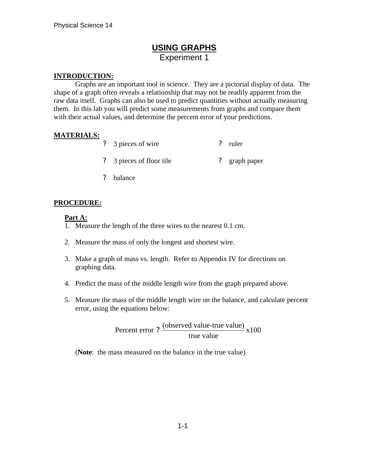## **USING GRAPHS** Experiment 1

#### **INTRODUCTION:**

Graphs are an important tool in science. They are a pictorial display of data. The shape of a graph often reveals a relationship that may not be readily apparent from the raw data itself. Graphs can also be used to predict quantities without actually measuring them. In this lab you will predict some measurements from graphs and compare them with their actual values, and determine the percent error of your predictions.

### **MATERIALS:**

- ? 3 pieces of wire ? ruler
- ? 3 pieces of floor tile ? graph paper
- ? balance

#### **PROCEDURE:**

#### **Part A:**

- 1. Measure the length of the three wires to the nearest 0.1 cm.
- 2. Measure the mass of only the longest and shortest wire.
- 3. Make a graph of mass vs. length. Refer to Appendix IV for directions on graphing data.
- 4. Predict the mass of the middle length wire from the graph prepared above.
- 5. Measure the mass of the middle length wire on the balance, and calculate percent error, using the equations below:

Percent error ?  $\frac{\text{(observed value-true value)}}{\text{(observed value-true value)}}$  x100 true value ?

(**Note**: the mass measured on the balance in the true value)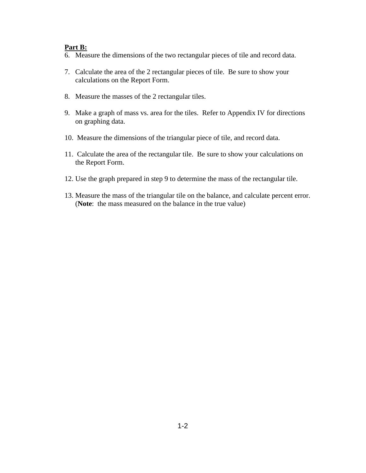#### **Part B:**

- 6. Measure the dimensions of the two rectangular pieces of tile and record data.
- 7. Calculate the area of the 2 rectangular pieces of tile. Be sure to show your calculations on the Report Form.
- 8. Measure the masses of the 2 rectangular tiles.
- 9. Make a graph of mass vs. area for the tiles. Refer to Appendix IV for directions on graphing data.
- 10. Measure the dimensions of the triangular piece of tile, and record data.
- 11. Calculate the area of the rectangular tile. Be sure to show your calculations on the Report Form.
- 12. Use the graph prepared in step 9 to determine the mass of the rectangular tile.
- 13. Measure the mass of the triangular tile on the balance, and calculate percent error. (**Note**: the mass measured on the balance in the true value)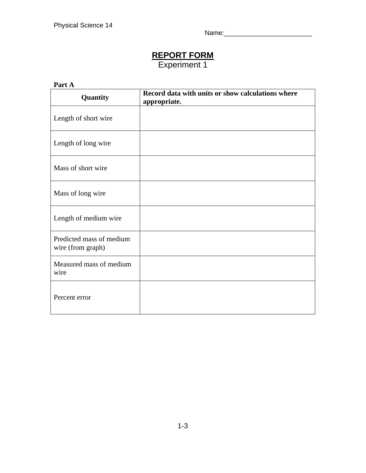Name:\_\_\_\_\_\_\_\_\_\_\_\_\_\_\_\_\_\_\_\_\_\_\_\_

# **REPORT FORM**

Experiment 1

### **Part A**

| Quantity                                      | Record data with units or show calculations where<br>appropriate. |
|-----------------------------------------------|-------------------------------------------------------------------|
| Length of short wire                          |                                                                   |
| Length of long wire                           |                                                                   |
| Mass of short wire                            |                                                                   |
| Mass of long wire                             |                                                                   |
| Length of medium wire                         |                                                                   |
| Predicted mass of medium<br>wire (from graph) |                                                                   |
| Measured mass of medium<br>wire               |                                                                   |
| Percent error                                 |                                                                   |